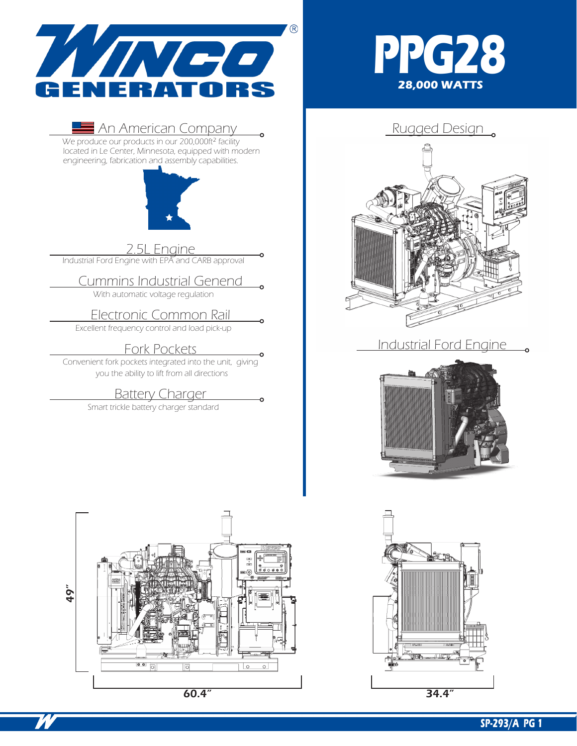

### $\blacksquare$  An American Company  $\blacksquare$  Rugged Design

We produce our products in our 200,000ft<sup>2</sup> facility located in Le Center, Minnesota, equipped with modern engineering, fabrication and assembly capabilities.



2.5L Engine

Industrial Ford Engine with EP $\bar{\wedge}$  and CARB approval

## Cummins Industrial Genend

With automatic voltage regulation

Electronic Common Rail

Excellent frequency control and load pick-up

Fork Pockets<br>Convenient fork pockets integrated into the unit, giving you the ability to lift from all directions

**Battery Charger** 

Smart trickle battery charger standard







### Industrial Ford Engine



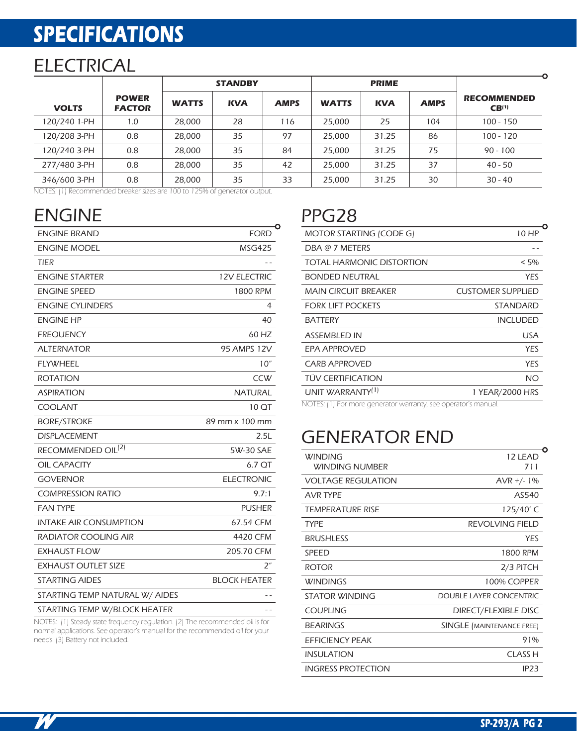# **SPECIFICATIONS**

## **ELECTRICAL**

|              |                               | <b>STANDBY</b> |            | <b>PRIME</b> |              |            |             |                                         |
|--------------|-------------------------------|----------------|------------|--------------|--------------|------------|-------------|-----------------------------------------|
| <b>VOLTS</b> | <b>POWER</b><br><b>FACTOR</b> | <b>WATTS</b>   | <b>KVA</b> | <b>AMPS</b>  | <b>WATTS</b> | <b>KVA</b> | <b>AMPS</b> | <b>RECOMMENDED</b><br>CB <sup>(1)</sup> |
| 120/240 1-PH | 1.0                           | 28.000         | 28         | 116          | 25,000       | 25         | 104         | $100 - 150$                             |
| 120/208 3-PH | 0.8                           | 28,000         | 35         | 97           | 25,000       | 31.25      | 86          | $100 - 120$                             |
| 120/240 3-PH | 0.8                           | 28.000         | 35         | 84           | 25,000       | 31.25      | 75          | $90 - 100$                              |
| 277/480 3-PH | 0.8                           | 28.000         | 35         | 42           | 25,000       | 31.25      | 37          | 40 - 50                                 |
| 346/600 3-PH | 0.8                           | 28,000         | 35         | 33           | 25,000       | 31.25      | 30          | $30 - 40$                               |

NOTES: (1) Recommended breaker sizes are 100 to 125% of generator output.

# ENGINE PPG28

| <b>ENGINE BRAND</b>                                                          | <b>FORD</b>         |  |  |
|------------------------------------------------------------------------------|---------------------|--|--|
| <b>ENGINE MODEL</b>                                                          | <b>MSG425</b>       |  |  |
| TIER                                                                         |                     |  |  |
| <b>ENGINE STARTER</b>                                                        | <b>12V ELECTRIC</b> |  |  |
| <b>ENGINE SPEED</b>                                                          | 1800 RPM            |  |  |
| <b>ENGINE CYLINDERS</b>                                                      | 4                   |  |  |
| <b>ENGINE HP</b>                                                             | 40                  |  |  |
| <b>FREQUENCY</b>                                                             | 60 HZ               |  |  |
| <b>ALTERNATOR</b>                                                            | <b>95 AMPS 12V</b>  |  |  |
| <b>FLYWHEEL</b>                                                              | 10"                 |  |  |
| <b>ROTATION</b>                                                              | CCW                 |  |  |
| ASPIRATION                                                                   | NATURAL             |  |  |
| <b>COOLANT</b>                                                               | 10 QT               |  |  |
| <b>BORE/STROKE</b>                                                           | 89 mm x 100 mm      |  |  |
| <b>DISPLACEMENT</b>                                                          | 2.5L                |  |  |
| RECOMMENDED OIL <sup>(2)</sup>                                               | 5W-30 SAE           |  |  |
| <b>OIL CAPACITY</b>                                                          | 6.7 QT              |  |  |
| <b>GOVERNOR</b>                                                              | <b>ELECTRONIC</b>   |  |  |
| <b>COMPRESSION RATIO</b>                                                     | 9.7:1               |  |  |
| <b>FAN TYPE</b>                                                              | <b>PUSHER</b>       |  |  |
| INTAKE AIR CONSUMPTION                                                       | 67.54 CFM           |  |  |
| RADIATOR COOLING AIR                                                         | 4420 CFM            |  |  |
| EXHAUST FLOW                                                                 | 205.70 CFM          |  |  |
| <b>EXHAUST OUTLET SIZE</b>                                                   | 2″                  |  |  |
| <b>STARTING AIDES</b>                                                        | <b>BLOCK HEATER</b> |  |  |
| STARTING TEMP NATURAL W/ AIDES                                               |                     |  |  |
| STARTING TEMP W/BLOCK HEATER                                                 |                     |  |  |
| NOTES: (1) Steady state frequency regulation. (2) The recommended oil is for |                     |  |  |

normal applications. See operator's manual for the recommended oil for your needs. (3) Battery not included.

| 10 HP                    |
|--------------------------|
|                          |
| $< 5\%$                  |
| <b>YES</b>               |
| <b>CUSTOMER SUPPLIED</b> |
| STANDARD                 |
| <b>INCLUDED</b>          |
| USA                      |
| YES                      |
| YES                      |
| NΟ                       |
| 1 YEAR/2000 HRS          |
|                          |

NOTES: (1) For more generator warranty, see operator's manual.

## GENERATOR END

| <b>WINDING</b><br><b>WINDING NUMBER</b> | 12 LEAD<br>711            |
|-----------------------------------------|---------------------------|
| <b>VOLTAGE REGULATION</b>               | $AVR +/- 1%$              |
| <b>AVR TYPF</b>                         | AS540                     |
| <b>TEMPERATURE RISE</b>                 | 125/40°C                  |
| <b>TYPF</b>                             | REVOLVING FIELD           |
| <b>BRUSHLESS</b>                        | <b>YES</b>                |
| SPEED                                   | 1800 RPM                  |
| <b>ROTOR</b>                            | 2/3 PITCH                 |
| <b>WINDINGS</b>                         | 100% COPPER               |
| STATOR WINDING                          | DOUBLE LAYER CONCENTRIC   |
| COUPLING                                | DIRECT/FLEXIBLE DISC      |
| <b>BEARINGS</b>                         | SINGLE (MAINTENANCE FREE) |
| EFFICIENCY PEAK                         | 91%                       |
| <b>INSULATION</b>                       | CLASS H                   |
| <b>INGRESS PROTECTION</b>               | IP <sub>23</sub>          |